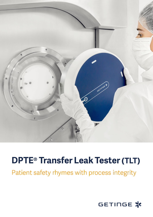

## **DPTE® Transfer Leak Tester (TLT)**

Patient safety rhymes with process integrity